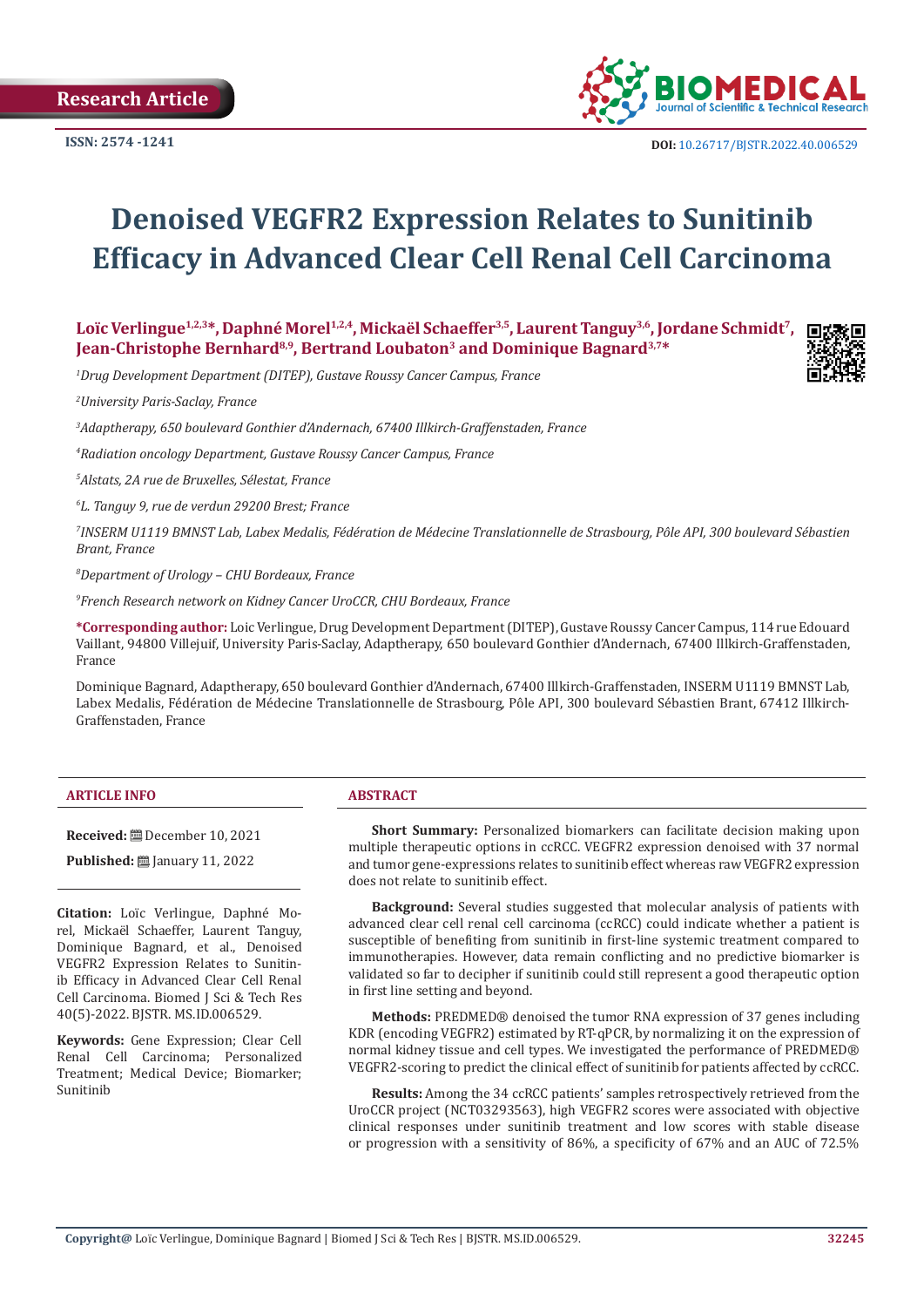

**ISSN:** 2574 -1241 **DOI:** [10.26717/BJSTR.2022.40.006529](https://dx.doi.org/10.26717/BJSTR.2022.40.006529)

# **Denoised VEGFR2 Expression Relates to Sunitinib Efficacy in Advanced Clear Cell Renal Cell Carcinoma**

**Loïc Verlingue1,2,3\*, Daphné Morel1,2,4, Mickaël Schaeffer3,5, Laurent Tanguy3,6, Jordane Schmidt7, Jean-Christophe Bernhard8,9, Bertrand Loubaton<sup>3</sup> and Dominique Bagnard3,7\***

*1 Drug Development Department (DITEP), Gustave Roussy Cancer Campus, France*

*2 University Paris-Saclay, France*

*3 Adaptherapy, 650 boulevard Gonthier d'Andernach, 67400 Illkirch-Graffenstaden, France*

*4 Radiation oncology Department, Gustave Roussy Cancer Campus, France*

*5 Alstats, 2A rue de Bruxelles, Sélestat, France*

*6 L. Tanguy 9, rue de verdun 29200 Brest; France*

*7 INSERM U1119 BMNST Lab, Labex Medalis, Fédération de Médecine Translationnelle de Strasbourg, Pôle API, 300 boulevard Sébastien Brant, France*

*8 Department of Urology – CHU Bordeaux, France* 

*9 French Research network on Kidney Cancer UroCCR, CHU Bordeaux, France*

**\*Corresponding author:** Loic Verlingue, Drug Development Department (DITEP), Gustave Roussy Cancer Campus, 114 rue Edouard Vaillant, 94800 Villejuif, University Paris-Saclay, Adaptherapy, 650 boulevard Gonthier d'Andernach, 67400 Illkirch-Graffenstaden, France

Dominique Bagnard, Adaptherapy, 650 boulevard Gonthier d'Andernach, 67400 Illkirch-Graffenstaden, INSERM U1119 BMNST Lab, Labex Medalis, Fédération de Médecine Translationnelle de Strasbourg, Pôle API, 300 boulevard Sébastien Brant, 67412 Illkirch-Graffenstaden, France

#### **ARTICLE INFO ABSTRACT**

**Received:** December 10, 2021

**Published:** <u>□</u> January 11, 2022

**Citation:** Loïc Verlingue, Daphné Morel, Mickaël Schaeffer, Laurent Tanguy, Dominique Bagnard, et al., Denoised VEGFR2 Expression Relates to Sunitinib Efficacy in Advanced Clear Cell Renal Cell Carcinoma. Biomed J Sci & Tech Res 40(5)-2022. BJSTR. MS.ID.006529.

**Keywords:** Gene Expression; Clear Cell Renal Cell Carcinoma; Personalized Treatment; Medical Device; Biomarker; Sunitinib

**Short Summary:** Personalized biomarkers can facilitate decision making upon multiple therapeutic options in ccRCC. VEGFR2 expression denoised with 37 normal and tumor gene-expressions relates to sunitinib effect whereas raw VEGFR2 expression does not relate to sunitinib effect.

**Background:** Several studies suggested that molecular analysis of patients with advanced clear cell renal cell carcinoma (ccRCC) could indicate whether a patient is susceptible of benefiting from sunitinib in first-line systemic treatment compared to immunotherapies. However, data remain conflicting and no predictive biomarker is validated so far to decipher if sunitinib could still represent a good therapeutic option in first line setting and beyond.

**Methods:** PREDMED® denoised the tumor RNA expression of 37 genes including KDR (encoding VEGFR2) estimated by RT-qPCR, by normalizing it on the expression of normal kidney tissue and cell types. We investigated the performance of PREDMED® VEGFR2-scoring to predict the clinical effect of sunitinib for patients affected by ccRCC.

**Results:** Among the 34 ccRCC patients' samples retrospectively retrieved from the UroCCR project (NCT03293563), high VEGFR2 scores were associated with objective clinical responses under sunitinib treatment and low scores with stable disease or progression with a sensitivity of 86%, a specificity of 67% and an AUC of 72.5%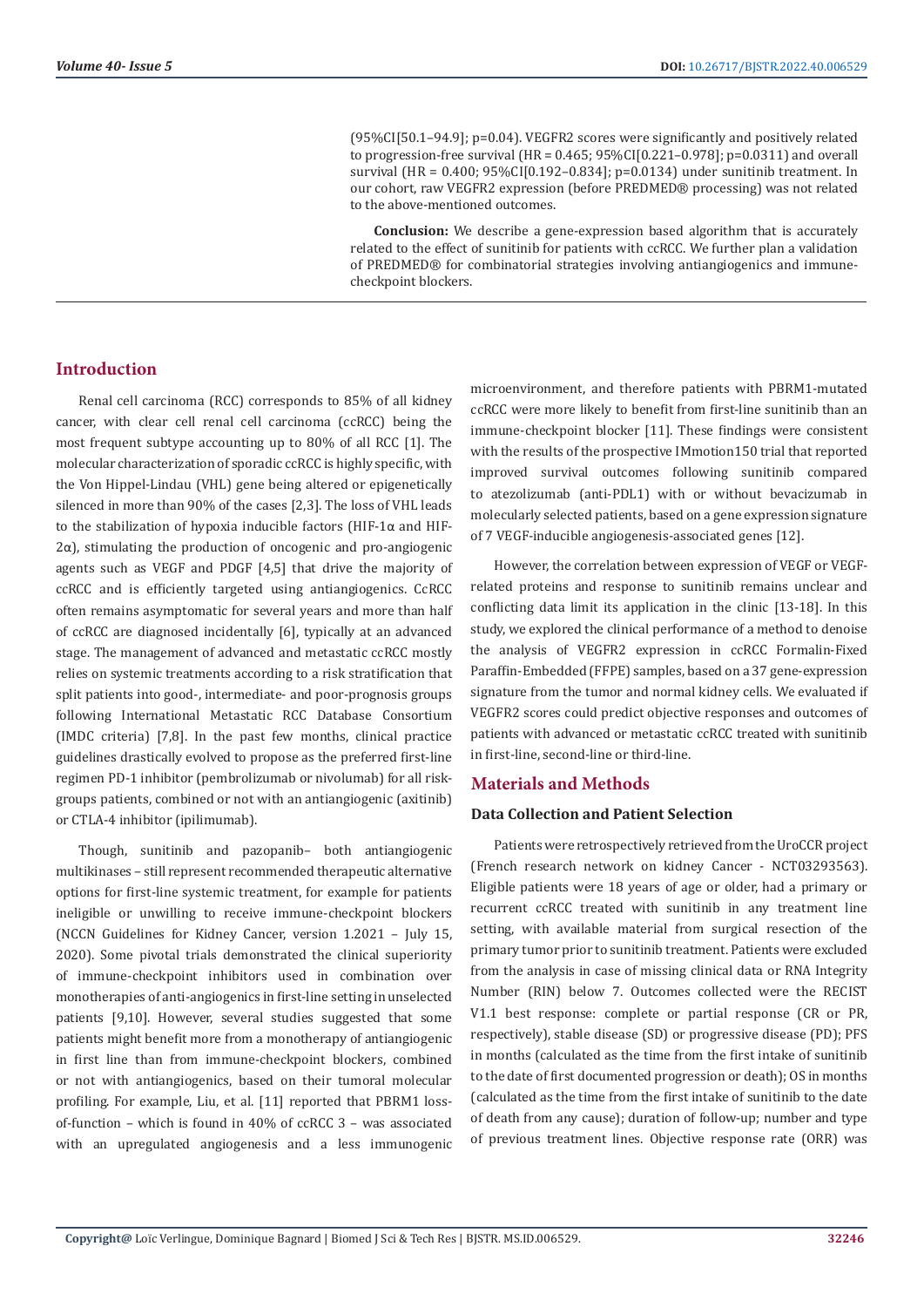(95%CI[50.1–94.9]; p=0.04). VEGFR2 scores were significantly and positively related to progression-free survival (HR =  $0.465$ ;  $95\%$ CI[0.221-0.978]; p=0.0311) and overall survival (HR = 0.400; 95%CI[0.192–0.834]; p=0.0134) under sunitinib treatment. In our cohort, raw VEGFR2 expression (before PREDMED® processing) was not related to the above-mentioned outcomes.

**Conclusion:** We describe a gene-expression based algorithm that is accurately related to the effect of sunitinib for patients with ccRCC. We further plan a validation of PREDMED® for combinatorial strategies involving antiangiogenics and immunecheckpoint blockers.

## **Introduction**

Renal cell carcinoma (RCC) corresponds to 85% of all kidney cancer, with clear cell renal cell carcinoma (ccRCC) being the most frequent subtype accounting up to 80% of all RCC [1]. The molecular characterization of sporadic ccRCC is highly specific, with the Von Hippel-Lindau (VHL) gene being altered or epigenetically silenced in more than 90% of the cases [2,3]. The loss of VHL leads to the stabilization of hypoxia inducible factors (HIF-1α and HIF-2α), stimulating the production of oncogenic and pro-angiogenic agents such as VEGF and PDGF [4,5] that drive the majority of ccRCC and is efficiently targeted using antiangiogenics. CcRCC often remains asymptomatic for several years and more than half of ccRCC are diagnosed incidentally [6], typically at an advanced stage. The management of advanced and metastatic ccRCC mostly relies on systemic treatments according to a risk stratification that split patients into good-, intermediate- and poor-prognosis groups following International Metastatic RCC Database Consortium (IMDC criteria) [7,8]. In the past few months, clinical practice guidelines drastically evolved to propose as the preferred first-line regimen PD-1 inhibitor (pembrolizumab or nivolumab) for all riskgroups patients, combined or not with an antiangiogenic (axitinib) or CTLA-4 inhibitor (ipilimumab).

Though, sunitinib and pazopanib– both antiangiogenic multikinases – still represent recommended therapeutic alternative options for first-line systemic treatment, for example for patients ineligible or unwilling to receive immune-checkpoint blockers (NCCN Guidelines for Kidney Cancer, version 1.2021 – July 15, 2020). Some pivotal trials demonstrated the clinical superiority of immune-checkpoint inhibitors used in combination over monotherapies of anti-angiogenics in first-line setting in unselected patients [9,10]. However, several studies suggested that some patients might benefit more from a monotherapy of antiangiogenic in first line than from immune-checkpoint blockers, combined or not with antiangiogenics, based on their tumoral molecular profiling. For example, Liu, et al. [11] reported that PBRM1 lossof-function – which is found in 40% of ccRCC 3 – was associated with an upregulated angiogenesis and a less immunogenic microenvironment, and therefore patients with PBRM1-mutated ccRCC were more likely to benefit from first-line sunitinib than an immune-checkpoint blocker [11]. These findings were consistent with the results of the prospective IMmotion150 trial that reported improved survival outcomes following sunitinib compared to atezolizumab (anti-PDL1) with or without bevacizumab in molecularly selected patients, based on a gene expression signature of 7 VEGF-inducible angiogenesis-associated genes [12].

However, the correlation between expression of VEGF or VEGFrelated proteins and response to sunitinib remains unclear and conflicting data limit its application in the clinic [13-18]. In this study, we explored the clinical performance of a method to denoise the analysis of VEGFR2 expression in ccRCC Formalin-Fixed Paraffin-Embedded (FFPE) samples, based on a 37 gene-expression signature from the tumor and normal kidney cells. We evaluated if VEGFR2 scores could predict objective responses and outcomes of patients with advanced or metastatic ccRCC treated with sunitinib in first-line, second-line or third-line.

#### **Materials and Methods**

#### **Data Collection and Patient Selection**

Patients were retrospectively retrieved from the UroCCR project (French research network on kidney Cancer - NCT03293563). Eligible patients were 18 years of age or older, had a primary or recurrent ccRCC treated with sunitinib in any treatment line setting, with available material from surgical resection of the primary tumor prior to sunitinib treatment. Patients were excluded from the analysis in case of missing clinical data or RNA Integrity Number (RIN) below 7. Outcomes collected were the RECIST V1.1 best response: complete or partial response (CR or PR, respectively), stable disease (SD) or progressive disease (PD); PFS in months (calculated as the time from the first intake of sunitinib to the date of first documented progression or death); OS in months (calculated as the time from the first intake of sunitinib to the date of death from any cause); duration of follow-up; number and type of previous treatment lines. Objective response rate (ORR) was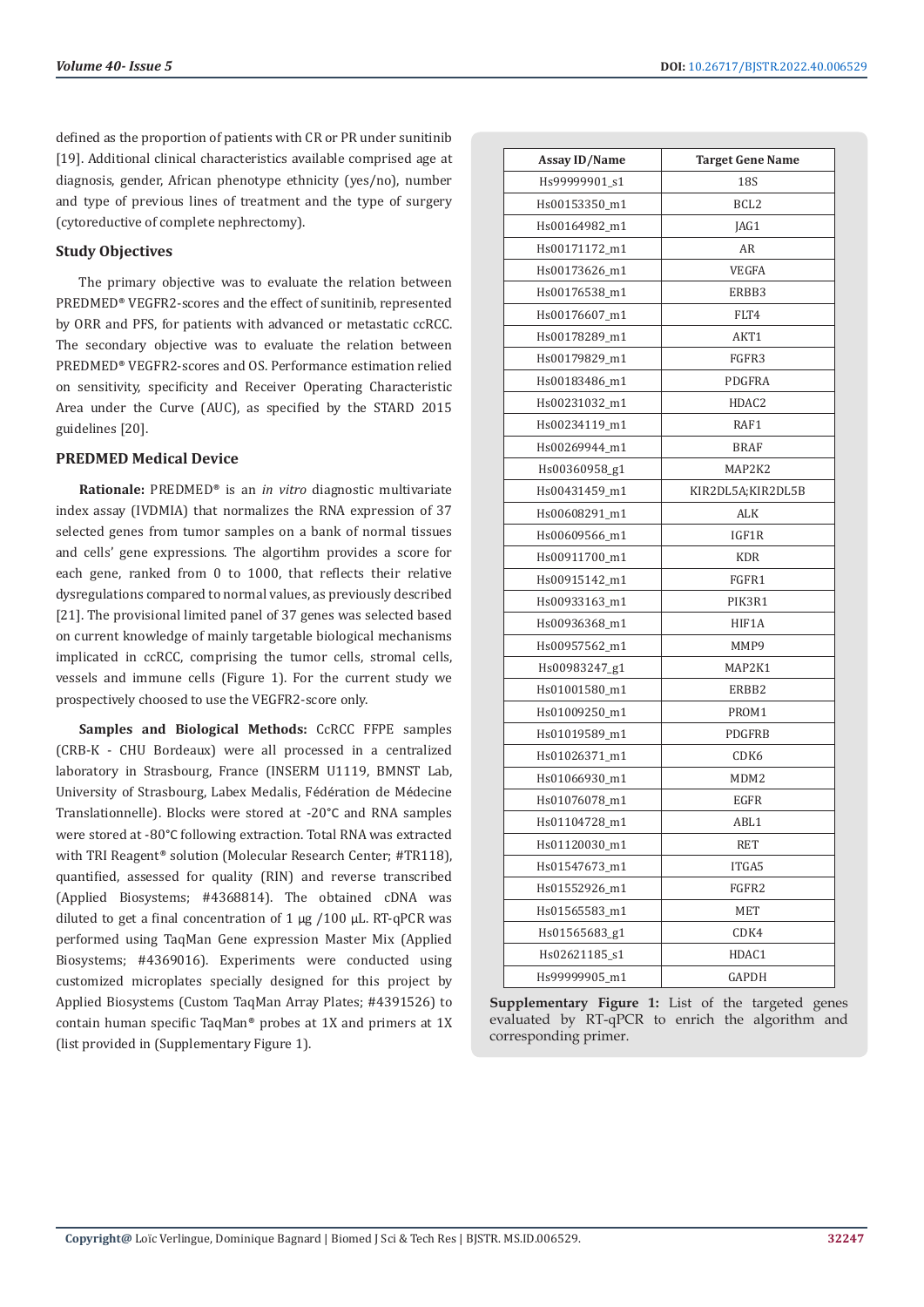defined as the proportion of patients with CR or PR under sunitinib [19]. Additional clinical characteristics available comprised age at diagnosis, gender, African phenotype ethnicity (yes/no), number and type of previous lines of treatment and the type of surgery (cytoreductive of complete nephrectomy).

#### **Study Objectives**

The primary objective was to evaluate the relation between PREDMED® VEGFR2-scores and the effect of sunitinib, represented by ORR and PFS, for patients with advanced or metastatic ccRCC. The secondary objective was to evaluate the relation between PREDMED® VEGFR2-scores and OS. Performance estimation relied on sensitivity, specificity and Receiver Operating Characteristic Area under the Curve (AUC), as specified by the STARD 2015 guidelines [20].

#### **PREDMED Medical Device**

**Rationale:** PREDMED® is an *in vitro* diagnostic multivariate index assay (IVDMIA) that normalizes the RNA expression of 37 selected genes from tumor samples on a bank of normal tissues and cells' gene expressions. The algortihm provides a score for each gene, ranked from 0 to 1000, that reflects their relative dysregulations compared to normal values, as previously described [21]. The provisional limited panel of 37 genes was selected based on current knowledge of mainly targetable biological mechanisms implicated in ccRCC, comprising the tumor cells, stromal cells, vessels and immune cells (Figure 1). For the current study we prospectively choosed to use the VEGFR2-score only.

**Samples and Biological Methods:** CcRCC FFPE samples (CRB-K - CHU Bordeaux) were all processed in a centralized laboratory in Strasbourg, France (INSERM U1119, BMNST Lab, University of Strasbourg, Labex Medalis, Fédération de Médecine Translationnelle). Blocks were stored at -20°C and RNA samples were stored at -80°C following extraction. Total RNA was extracted with TRI Reagent® solution (Molecular Research Center; #TR118), quantified, assessed for quality (RIN) and reverse transcribed (Applied Biosystems; #4368814). The obtained cDNA was diluted to get a final concentration of  $1 \mu g / 100 \mu L$ . RT-qPCR was performed using TaqMan Gene expression Master Mix (Applied Biosystems; #4369016). Experiments were conducted using customized microplates specially designed for this project by Applied Biosystems (Custom TaqMan Array Plates; #4391526) to contain human specific TaqMan® probes at 1X and primers at 1X (list provided in (Supplementary Figure 1).

| <b>Assay ID/Name</b> | <b>Target Gene Name</b> |
|----------------------|-------------------------|
| Hs99999901_s1        | 18 <sub>S</sub>         |
| Hs00153350_m1        | BCL <sub>2</sub>        |
| Hs00164982_m1        | JAG1                    |
| Hs00171172_m1        | AR                      |
| Hs00173626_m1        | VEGFA                   |
| Hs00176538_m1        | ERBB3                   |
| Hs00176607_m1        | FLT4                    |
| Hs00178289_m1        | AKT1                    |
| Hs00179829_m1        | FGFR3                   |
| Hs00183486_m1        | PDGFRA                  |
| Hs00231032_m1        | HDAC <sub>2</sub>       |
| Hs00234119_m1        | RAF1                    |
| Hs00269944_m1        | <b>BRAF</b>             |
| Hs00360958_g1        | MAP2K2                  |
| Hs00431459_m1        | KIR2DL5A;KIR2DL5B       |
| Hs00608291_m1        | ALK                     |
| Hs00609566_m1        | IGF1R                   |
| Hs00911700_m1        | <b>KDR</b>              |
| Hs00915142 m1        | FGFR1                   |
| Hs00933163_m1        | PIK3R1                  |
| Hs00936368_m1        | HIF1A                   |
| Hs00957562_m1        | MMP9                    |
| Hs00983247_g1        | MAP2K1                  |
| Hs01001580_m1        | ERBB2                   |
| Hs01009250_m1        | PROM1                   |
| Hs01019589_m1        | PDGFRB                  |
| Hs01026371_m1        | CDK6                    |
| Hs01066930_m1        | MDM2                    |
| Hs01076078 m1        | EGFR                    |
| Hs01104728_m1        | ABL1                    |
| Hs01120030_m1        | RET                     |
| Hs01547673_m1        | ITGA5                   |
| Hs01552926_m1        | FGFR2                   |
| Hs01565583_m1        | MET                     |
| Hs01565683_g1        | CDK4                    |
| Hs02621185_s1        | HDAC1                   |
| Hs99999905 m1        | GAPDH                   |
|                      |                         |

**Supplementary Figure 1:** List of the targeted genes evaluated by RT-qPCR to enrich the algorithm and corresponding primer.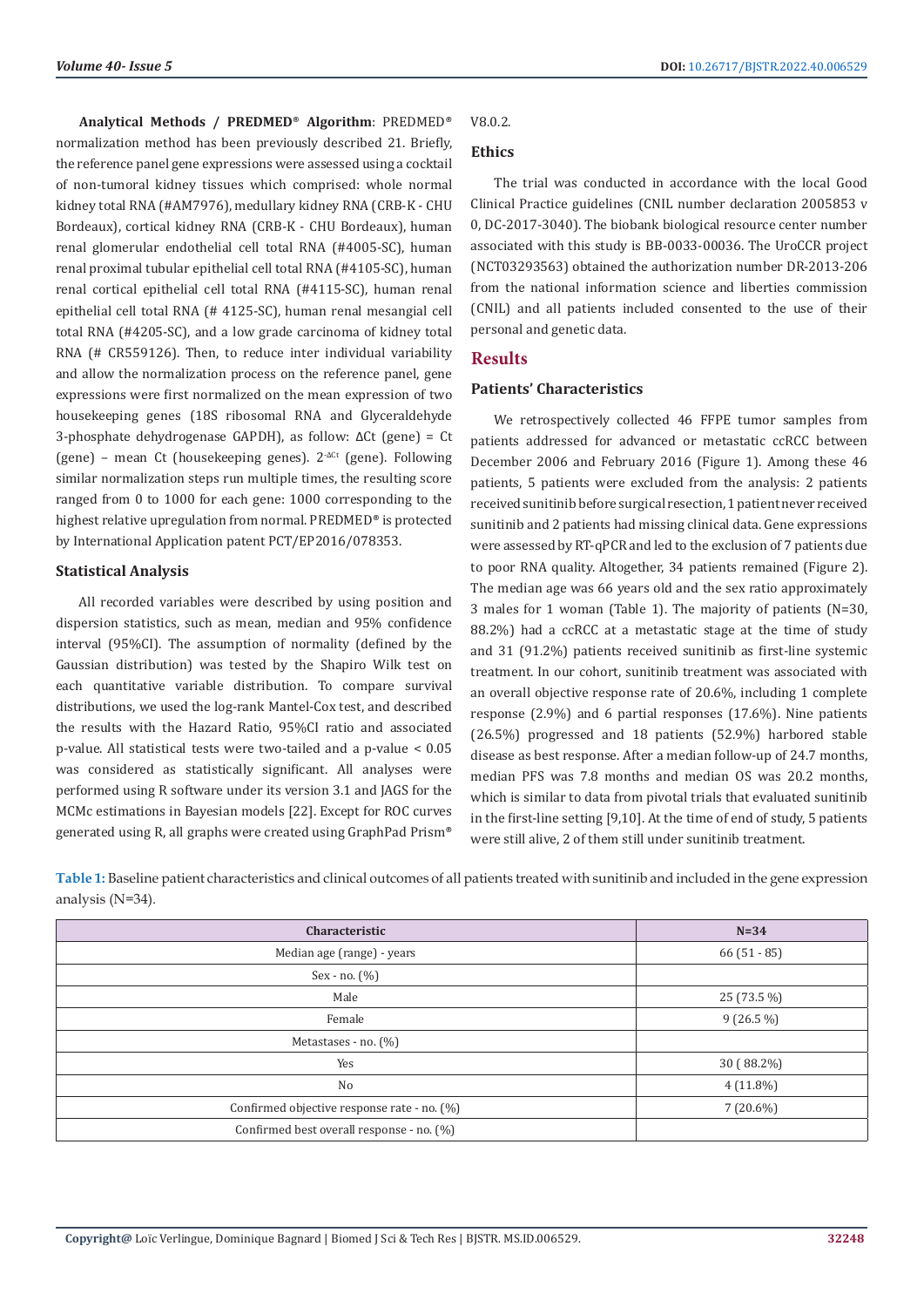**Analytical Methods / PREDMED**® **Algorithm**: PREDMED® normalization method has been previously described 21. Briefly, the reference panel gene expressions were assessed using a cocktail of non-tumoral kidney tissues which comprised: whole normal kidney total RNA (#AM7976), medullary kidney RNA (CRB-K - CHU Bordeaux), cortical kidney RNA (CRB-K - CHU Bordeaux), human renal glomerular endothelial cell total RNA (#4005-SC), human renal proximal tubular epithelial cell total RNA (#4105-SC), human renal cortical epithelial cell total RNA (#4115-SC), human renal epithelial cell total RNA (# 4125-SC), human renal mesangial cell total RNA (#4205-SC), and a low grade carcinoma of kidney total RNA (# CR559126). Then, to reduce inter individual variability and allow the normalization process on the reference panel, gene expressions were first normalized on the mean expression of two housekeeping genes (18S ribosomal RNA and Glyceraldehyde 3-phosphate dehydrogenase GAPDH), as follow: ΔCt (gene) = Ct (gene) – mean Ct (housekeeping genes).  $2^{\Delta C_t}$  (gene). Following similar normalization steps run multiple times, the resulting score ranged from 0 to 1000 for each gene: 1000 corresponding to the highest relative upregulation from normal. PREDMED® is protected by International Application patent PCT/EP2016/078353.

#### **Statistical Analysis**

All recorded variables were described by using position and dispersion statistics, such as mean, median and 95% confidence interval (95%CI). The assumption of normality (defined by the Gaussian distribution) was tested by the Shapiro Wilk test on each quantitative variable distribution. To compare survival distributions, we used the log-rank Mantel-Cox test, and described the results with the Hazard Ratio, 95%CI ratio and associated p-value. All statistical tests were two-tailed and a p-value < 0.05 was considered as statistically significant. All analyses were performed using R software under its version 3.1 and JAGS for the MCMc estimations in Bayesian models [22]. Except for ROC curves generated using R, all graphs were created using GraphPad Prism®

# V8.0.2.

# **Ethics**

The trial was conducted in accordance with the local Good Clinical Practice guidelines (CNIL number declaration 2005853 v 0, DC-2017-3040). The biobank biological resource center number associated with this study is BB-0033-00036. The UroCCR project (NCT03293563) obtained the authorization number DR-2013-206 from the national information science and liberties commission (CNIL) and all patients included consented to the use of their personal and genetic data.

#### **Results**

#### **Patients' Characteristics**

We retrospectively collected 46 FFPE tumor samples from patients addressed for advanced or metastatic ccRCC between December 2006 and February 2016 (Figure 1). Among these 46 patients, 5 patients were excluded from the analysis: 2 patients received sunitinib before surgical resection, 1 patient never received sunitinib and 2 patients had missing clinical data. Gene expressions were assessed by RT-qPCR and led to the exclusion of 7 patients due to poor RNA quality. Altogether, 34 patients remained (Figure 2). The median age was 66 years old and the sex ratio approximately 3 males for 1 woman (Table 1). The majority of patients (N=30, 88.2%) had a ccRCC at a metastatic stage at the time of study and 31 (91.2%) patients received sunitinib as first-line systemic treatment. In our cohort, sunitinib treatment was associated with an overall objective response rate of 20.6%, including 1 complete response (2.9%) and 6 partial responses (17.6%). Nine patients (26.5%) progressed and 18 patients (52.9%) harbored stable disease as best response. After a median follow-up of 24.7 months, median PFS was 7.8 months and median OS was 20.2 months, which is similar to data from pivotal trials that evaluated sunitinib in the first-line setting [9,10]. At the time of end of study, 5 patients were still alive, 2 of them still under sunitinib treatment.

**Table 1:** Baseline patient characteristics and clinical outcomes of all patients treated with sunitinib and included in the gene expression analysis (N=34).

| Characteristic                              | $N=34$      |
|---------------------------------------------|-------------|
| Median age (range) - years                  | $66(51-85)$ |
| $Sex - no. (%)$                             |             |
| Male                                        | 25 (73.5 %) |
| Female                                      | $9(26.5\%)$ |
| Metastases - no. (%)                        |             |
| Yes                                         | 30 (88.2%)  |
| No                                          | $4(11.8\%)$ |
| Confirmed objective response rate - no. (%) | $7(20.6\%)$ |
| Confirmed best overall response - no. (%)   |             |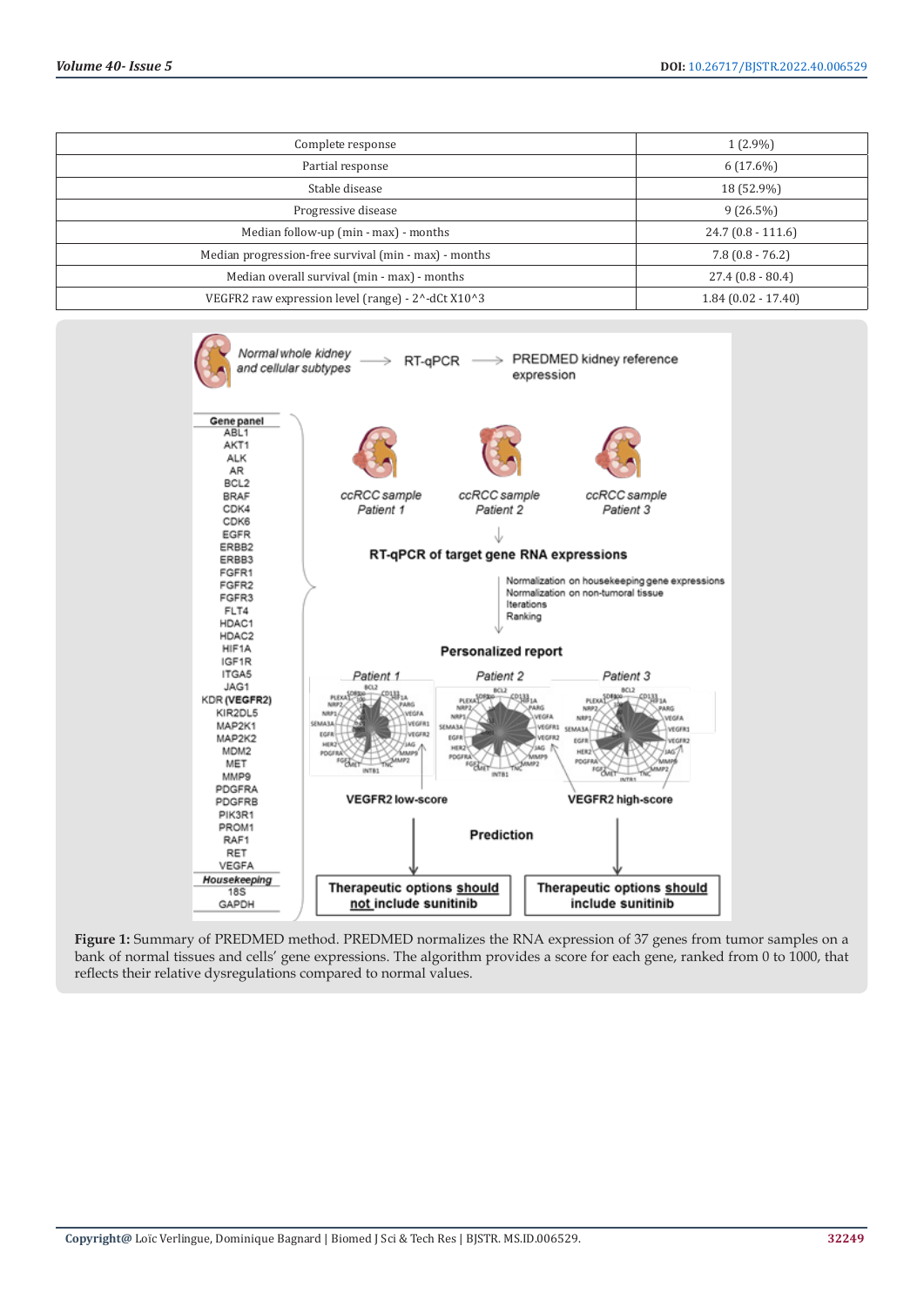| Complete response                                     | $1(2.9\%)$           |
|-------------------------------------------------------|----------------------|
| Partial response                                      | $6(17.6\%)$          |
| Stable disease                                        | 18 (52.9%)           |
| Progressive disease                                   | $9(26.5\%)$          |
| Median follow-up (min - max) - months                 | $24.7(0.8-111.6)$    |
| Median progression-free survival (min - max) - months | $7.8(0.8 - 76.2)$    |
| Median overall survival (min - max) - months          | $27.4(0.8 - 80.4)$   |
| VEGFR2 raw expression level (range) - 2^-dCt X10^3    | $1.84(0.02 - 17.40)$ |



**Figure 1:** Summary of PREDMED method. PREDMED normalizes the RNA expression of 37 genes from tumor samples on a bank of normal tissues and cells' gene expressions. The algorithm provides a score for each gene, ranked from 0 to 1000, that reflects their relative dysregulations compared to normal values.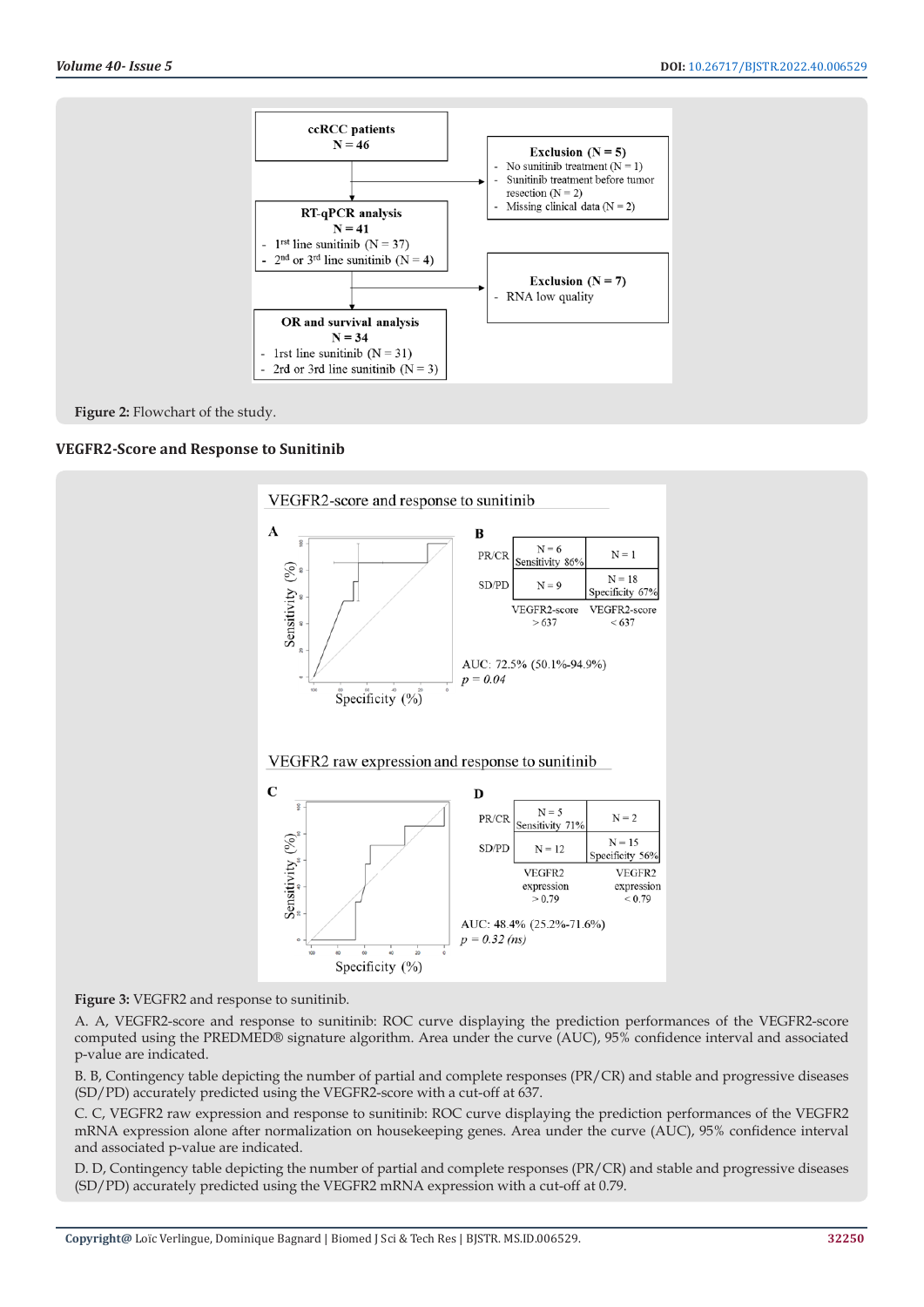



# **VEGFR2-Score and Response to Sunitinib**



**Figure 3:** VEGFR2 and response to sunitinib.

A. A, VEGFR2-score and response to sunitinib: ROC curve displaying the prediction performances of the VEGFR2-score computed using the PREDMED® signature algorithm. Area under the curve (AUC), 95% confidence interval and associated p-value are indicated.

B. B, Contingency table depicting the number of partial and complete responses (PR/CR) and stable and progressive diseases (SD/PD) accurately predicted using the VEGFR2-score with a cut-off at 637.

C. C, VEGFR2 raw expression and response to sunitinib: ROC curve displaying the prediction performances of the VEGFR2 mRNA expression alone after normalization on housekeeping genes. Area under the curve (AUC), 95% confidence interval and associated p-value are indicated.

D. D, Contingency table depicting the number of partial and complete responses (PR/CR) and stable and progressive diseases (SD/PD) accurately predicted using the VEGFR2 mRNA expression with a cut-off at 0.79.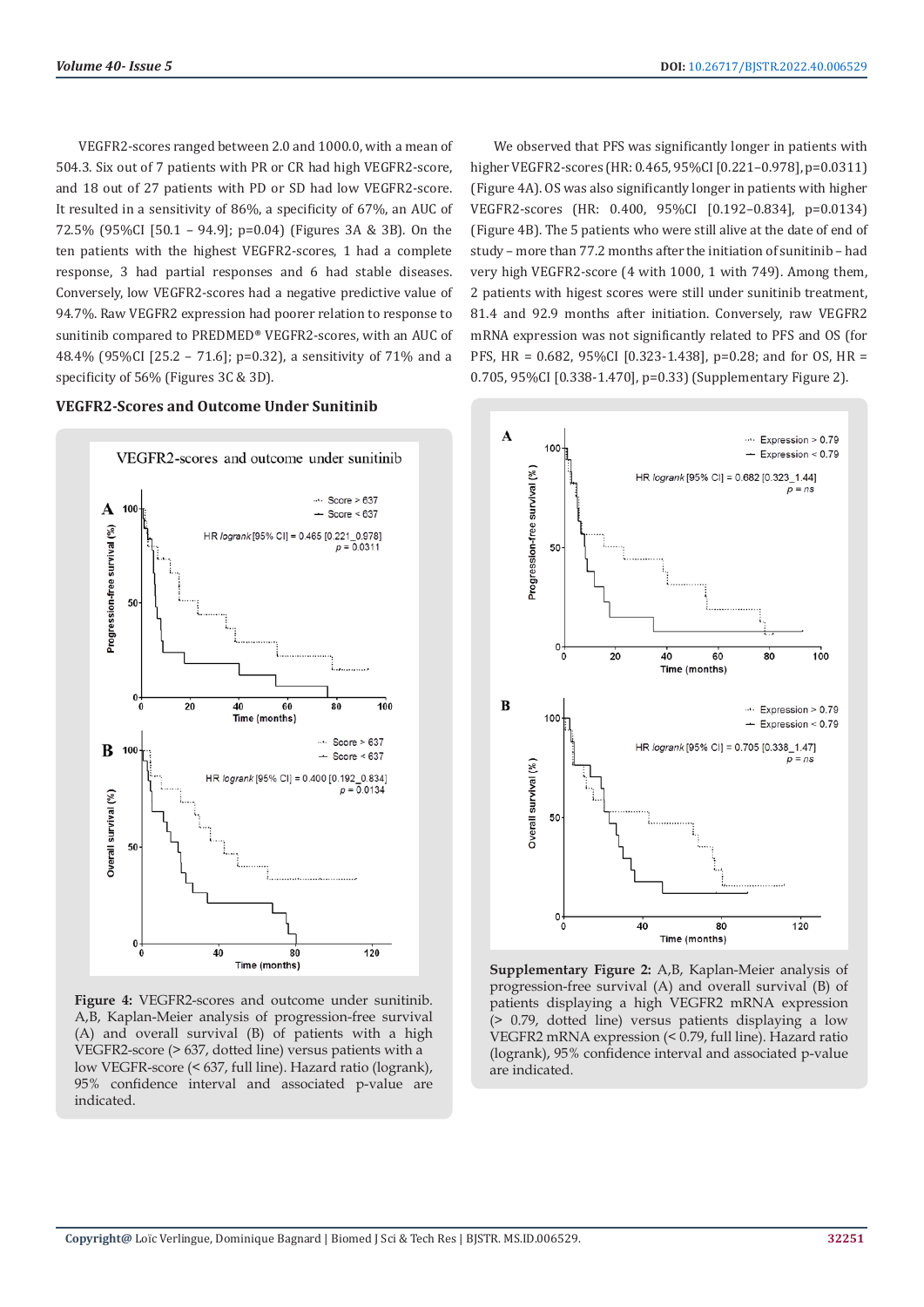VEGFR2-scores ranged between 2.0 and 1000.0, with a mean of 504.3. Six out of 7 patients with PR or CR had high VEGFR2-score, and 18 out of 27 patients with PD or SD had low VEGFR2-score. It resulted in a sensitivity of 86%, a specificity of 67%, an AUC of 72.5% (95%CI [50.1 – 94.9]; p=0.04) (Figures 3A & 3B). On the ten patients with the highest VEGFR2-scores, 1 had a complete response, 3 had partial responses and 6 had stable diseases. Conversely, low VEGFR2-scores had a negative predictive value of 94.7%. Raw VEGFR2 expression had poorer relation to response to sunitinib compared to PREDMED® VEGFR2-scores, with an AUC of 48.4% (95%CI [25.2 – 71.6]; p=0.32), a sensitivity of 71% and a specificity of 56% (Figures 3C & 3D).

**VEGFR2-Scores and Outcome Under Sunitinib**



**Figure 4:** VEGFR2-scores and outcome under sunitinib. A,B, Kaplan-Meier analysis of progression-free survival (A) and overall survival (B) of patients with a high VEGFR2-score (> 637, dotted line) versus patients with a low VEGFR-score (< 637, full line). Hazard ratio (logrank), 95% confidence interval and associated p-value are indicated.

We observed that PFS was significantly longer in patients with higher VEGFR2-scores (HR: 0.465, 95%CI [0.221–0.978], p=0.0311) (Figure 4A). OS was also significantly longer in patients with higher VEGFR2-scores (HR: 0.400, 95%CI [0.192–0.834], p=0.0134) (Figure 4B). The 5 patients who were still alive at the date of end of study – more than 77.2 months after the initiation of sunitinib – had very high VEGFR2-score (4 with 1000, 1 with 749). Among them, 2 patients with higest scores were still under sunitinib treatment, 81.4 and 92.9 months after initiation. Conversely, raw VEGFR2 mRNA expression was not significantly related to PFS and OS (for PFS, HR = 0.682, 95%CI [0.323-1.438], p=0.28; and for OS, HR = 0.705, 95%CI [0.338-1.470], p=0.33) (Supplementary Figure 2).



**Supplementary Figure 2:** A,B, Kaplan-Meier analysis of progression-free survival (A) and overall survival (B) of patients displaying a high VEGFR2 mRNA expression (> 0.79, dotted line) versus patients displaying a low VEGFR2 mRNA expression (< 0.79, full line). Hazard ratio (logrank), 95% confidence interval and associated p-value are indicated.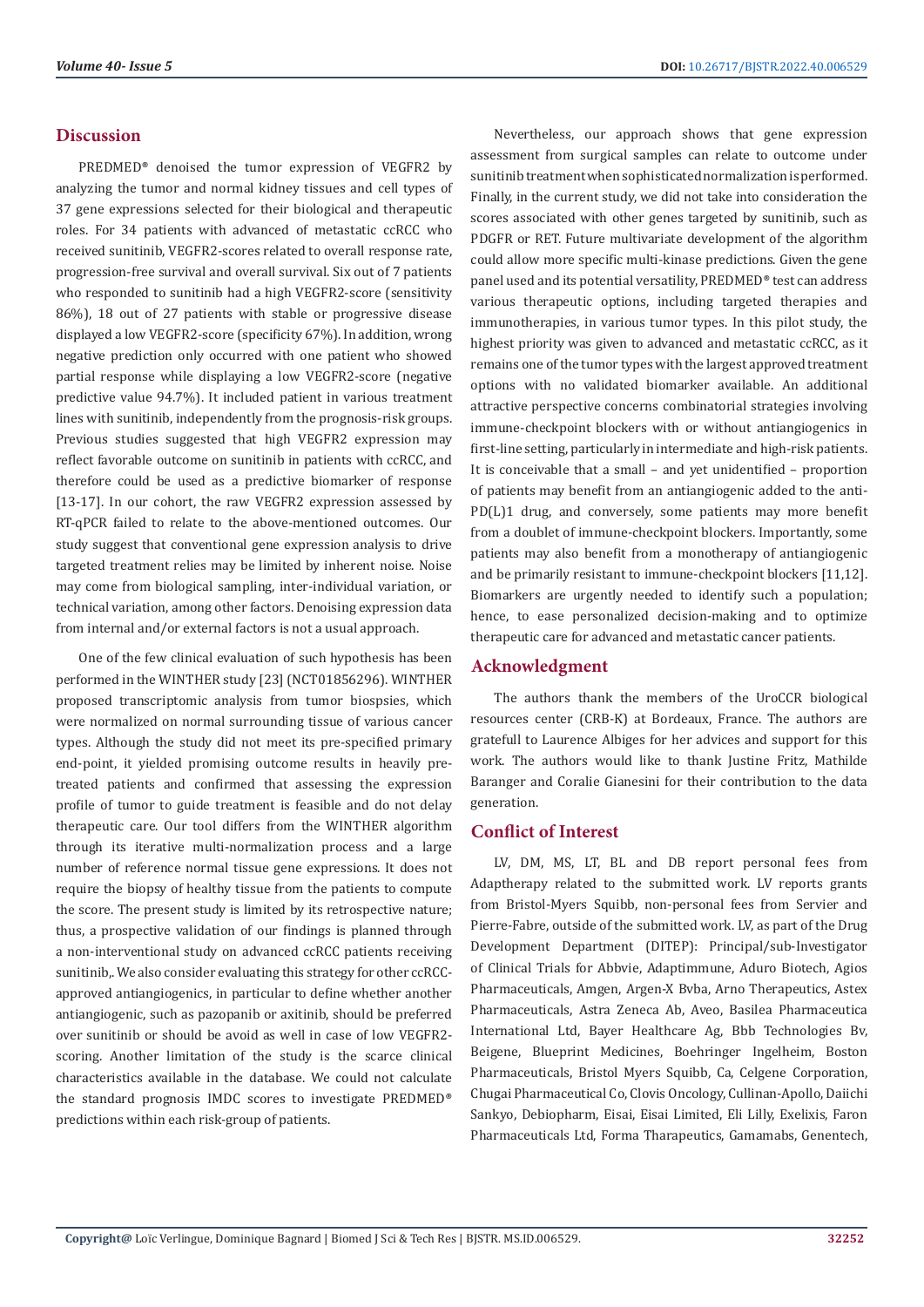## **Discussion**

PREDMED® denoised the tumor expression of VEGFR2 by analyzing the tumor and normal kidney tissues and cell types of 37 gene expressions selected for their biological and therapeutic roles. For 34 patients with advanced of metastatic ccRCC who received sunitinib, VEGFR2-scores related to overall response rate, progression-free survival and overall survival. Six out of 7 patients who responded to sunitinib had a high VEGFR2-score (sensitivity 86%), 18 out of 27 patients with stable or progressive disease displayed a low VEGFR2-score (specificity 67%). In addition, wrong negative prediction only occurred with one patient who showed partial response while displaying a low VEGFR2-score (negative predictive value 94.7%). It included patient in various treatment lines with sunitinib, independently from the prognosis-risk groups. Previous studies suggested that high VEGFR2 expression may reflect favorable outcome on sunitinib in patients with ccRCC, and therefore could be used as a predictive biomarker of response [13-17]. In our cohort, the raw VEGFR2 expression assessed by RT-qPCR failed to relate to the above-mentioned outcomes. Our study suggest that conventional gene expression analysis to drive targeted treatment relies may be limited by inherent noise. Noise may come from biological sampling, inter-individual variation, or technical variation, among other factors. Denoising expression data from internal and/or external factors is not a usual approach.

One of the few clinical evaluation of such hypothesis has been performed in the WINTHER study [23] (NCT01856296). WINTHER proposed transcriptomic analysis from tumor biospsies, which were normalized on normal surrounding tissue of various cancer types. Although the study did not meet its pre-specified primary end-point, it yielded promising outcome results in heavily pretreated patients and confirmed that assessing the expression profile of tumor to guide treatment is feasible and do not delay therapeutic care. Our tool differs from the WINTHER algorithm through its iterative multi-normalization process and a large number of reference normal tissue gene expressions. It does not require the biopsy of healthy tissue from the patients to compute the score. The present study is limited by its retrospective nature; thus, a prospective validation of our findings is planned through a non-interventional study on advanced ccRCC patients receiving sunitinib,. We also consider evaluating this strategy for other ccRCCapproved antiangiogenics, in particular to define whether another antiangiogenic, such as pazopanib or axitinib, should be preferred over sunitinib or should be avoid as well in case of low VEGFR2 scoring. Another limitation of the study is the scarce clinical characteristics available in the database. We could not calculate the standard prognosis IMDC scores to investigate PREDMED® predictions within each risk-group of patients.

Nevertheless, our approach shows that gene expression assessment from surgical samples can relate to outcome under sunitinib treatment when sophisticated normalization is performed. Finally, in the current study, we did not take into consideration the scores associated with other genes targeted by sunitinib, such as PDGFR or RET. Future multivariate development of the algorithm could allow more specific multi-kinase predictions. Given the gene panel used and its potential versatility, PREDMED® test can address various therapeutic options, including targeted therapies and immunotherapies, in various tumor types. In this pilot study, the highest priority was given to advanced and metastatic ccRCC, as it remains one of the tumor types with the largest approved treatment options with no validated biomarker available. An additional attractive perspective concerns combinatorial strategies involving immune-checkpoint blockers with or without antiangiogenics in first-line setting, particularly in intermediate and high-risk patients. It is conceivable that a small – and yet unidentified – proportion of patients may benefit from an antiangiogenic added to the anti-PD(L)1 drug, and conversely, some patients may more benefit from a doublet of immune-checkpoint blockers. Importantly, some patients may also benefit from a monotherapy of antiangiogenic and be primarily resistant to immune-checkpoint blockers [11,12]. Biomarkers are urgently needed to identify such a population; hence, to ease personalized decision-making and to optimize therapeutic care for advanced and metastatic cancer patients.

# **Acknowledgment**

The authors thank the members of the UroCCR biological resources center (CRB-K) at Bordeaux, France. The authors are gratefull to Laurence Albiges for her advices and support for this work. The authors would like to thank Justine Fritz, Mathilde Baranger and Coralie Gianesini for their contribution to the data generation.

#### **Conflict of Interest**

LV, DM, MS, LT, BL and DB report personal fees from Adaptherapy related to the submitted work. LV reports grants from Bristol-Myers Squibb, non-personal fees from Servier and Pierre-Fabre, outside of the submitted work. LV, as part of the Drug Development Department (DITEP): Principal/sub-Investigator of Clinical Trials for Abbvie, Adaptimmune, Aduro Biotech, Agios Pharmaceuticals, Amgen, Argen-X Bvba, Arno Therapeutics, Astex Pharmaceuticals, Astra Zeneca Ab, Aveo, Basilea Pharmaceutica International Ltd, Bayer Healthcare Ag, Bbb Technologies Bv, Beigene, Blueprint Medicines, Boehringer Ingelheim, Boston Pharmaceuticals, Bristol Myers Squibb, Ca, Celgene Corporation, Chugai Pharmaceutical Co, Clovis Oncology, Cullinan-Apollo, Daiichi Sankyo, Debiopharm, Eisai, Eisai Limited, Eli Lilly, Exelixis, Faron Pharmaceuticals Ltd, Forma Tharapeutics, Gamamabs, Genentech,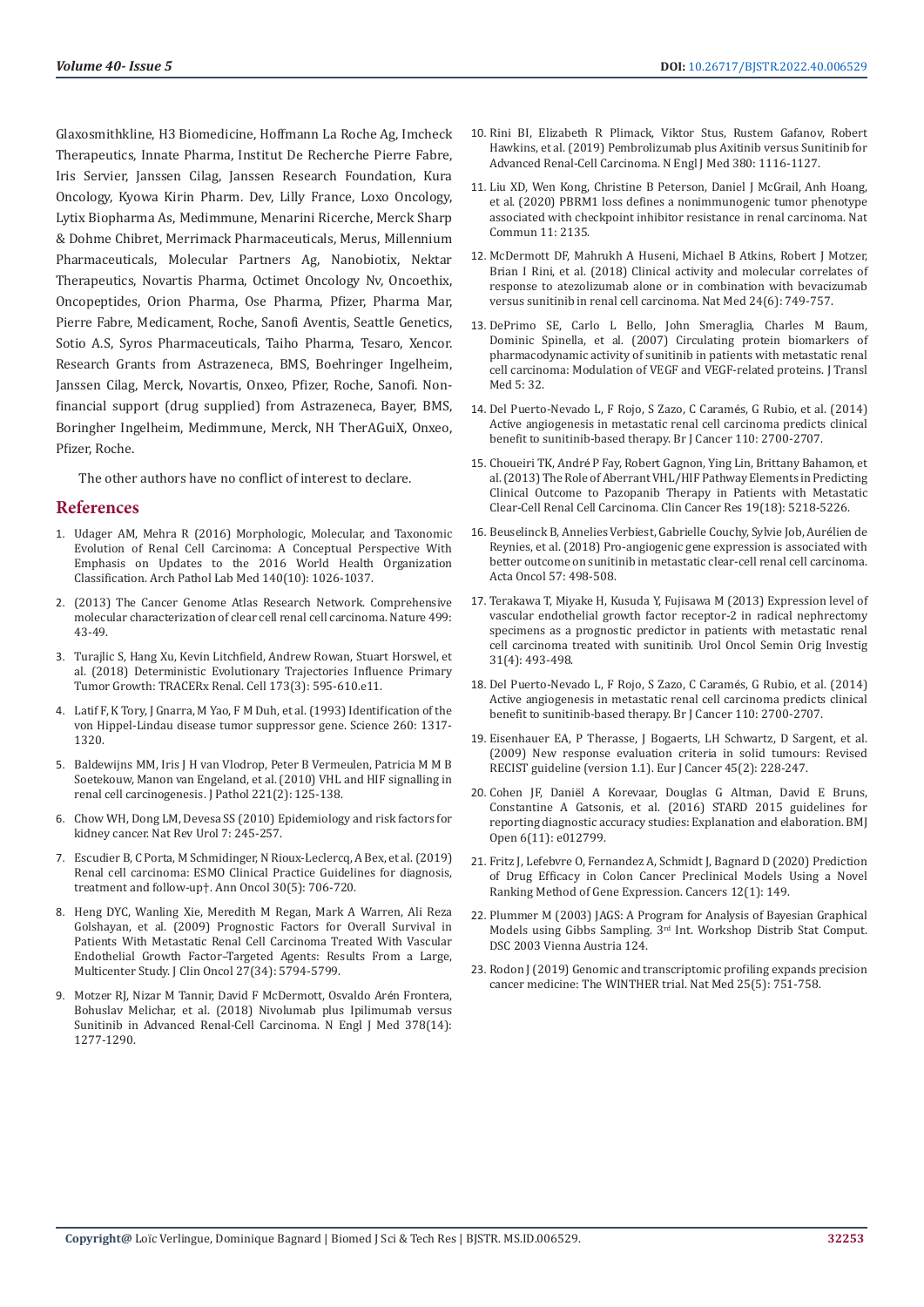Glaxosmithkline, H3 Biomedicine, Hoffmann La Roche Ag, Imcheck Therapeutics, Innate Pharma, Institut De Recherche Pierre Fabre, Iris Servier, Janssen Cilag, Janssen Research Foundation, Kura Oncology, Kyowa Kirin Pharm. Dev, Lilly France, Loxo Oncology, Lytix Biopharma As, Medimmune, Menarini Ricerche, Merck Sharp & Dohme Chibret, Merrimack Pharmaceuticals, Merus, Millennium Pharmaceuticals, Molecular Partners Ag, Nanobiotix, Nektar Therapeutics, Novartis Pharma, Octimet Oncology Nv, Oncoethix, Oncopeptides, Orion Pharma, Ose Pharma, Pfizer, Pharma Mar, Pierre Fabre, Medicament, Roche, Sanofi Aventis, Seattle Genetics, Sotio A.S, Syros Pharmaceuticals, Taiho Pharma, Tesaro, Xencor. Research Grants from Astrazeneca, BMS, Boehringer Ingelheim, Janssen Cilag, Merck, Novartis, Onxeo, Pfizer, Roche, Sanofi. Nonfinancial support (drug supplied) from Astrazeneca, Bayer, BMS, Boringher Ingelheim, Medimmune, Merck, NH TherAGuiX, Onxeo, Pfizer, Roche.

The other authors have no conflict of interest to declare.

#### **References**

- 1. [Udager AM, Mehra R \(2016\) Morphologic, Molecular, and Taxonomic](https://pubmed.ncbi.nlm.nih.gov/27684973/)  [Evolution of Renal Cell Carcinoma: A Conceptual Perspective With](https://pubmed.ncbi.nlm.nih.gov/27684973/)  [Emphasis on Updates to the 2016 World Health Organization](https://pubmed.ncbi.nlm.nih.gov/27684973/)  [Classification. Arch Pathol Lab Med 140\(10\): 1026-1037.](https://pubmed.ncbi.nlm.nih.gov/27684973/)
- 2. [\(2013\) The Cancer Genome Atlas Research Network. Comprehensive](https://www.nature.com/articles/nature12222)  [molecular characterization of clear cell renal cell carcinoma. Nature 499:](https://www.nature.com/articles/nature12222)  [43-49.](https://www.nature.com/articles/nature12222)
- 3. [Turajlic S, Hang Xu, Kevin Litchfield, Andrew Rowan, Stuart Horswel, et](https://pubmed.ncbi.nlm.nih.gov/29656894/)  [al. \(2018\) Deterministic Evolutionary Trajectories Influence Primary](https://pubmed.ncbi.nlm.nih.gov/29656894/)  [Tumor Growth: TRACERx Renal. Cell 173\(3\): 595-610.e11.](https://pubmed.ncbi.nlm.nih.gov/29656894/)
- 4. [Latif F, K Tory, J Gnarra, M Yao, F M Duh, et al. \(1993\) Identification of the](https://pubmed.ncbi.nlm.nih.gov/8493574/)  [von Hippel-Lindau disease tumor suppressor gene. Science 260: 1317-](https://pubmed.ncbi.nlm.nih.gov/8493574/) [1320.](https://pubmed.ncbi.nlm.nih.gov/8493574/)
- 5. [Baldewijns MM, Iris J H van Vlodrop, Peter B Vermeulen, Patricia M M B](https://pubmed.ncbi.nlm.nih.gov/20225241/)  [Soetekouw, Manon van Engeland, et al. \(2010\) VHL and HIF signalling in](https://pubmed.ncbi.nlm.nih.gov/20225241/)  [renal cell carcinogenesis. J Pathol 221\(2\): 125-138.](https://pubmed.ncbi.nlm.nih.gov/20225241/)
- 6. [Chow WH, Dong LM, Devesa SS \(2010\) Epidemiology and risk factors for](https://pubmed.ncbi.nlm.nih.gov/20448658/)  [kidney cancer. Nat Rev Urol 7: 245-257.](https://pubmed.ncbi.nlm.nih.gov/20448658/)
- 7. [Escudier B, C Porta, M Schmidinger, N Rioux-Leclercq, A Bex, et al. \(2019\)](https://pubmed.ncbi.nlm.nih.gov/30788497/)  [Renal cell carcinoma: ESMO Clinical Practice Guidelines for diagnosis,](https://pubmed.ncbi.nlm.nih.gov/30788497/)  [treatment and follow-up†. Ann Oncol 30\(5\): 706-720.](https://pubmed.ncbi.nlm.nih.gov/30788497/)
- 8. [Heng DYC, Wanling Xie, Meredith M Regan, Mark A Warren, Ali Reza](https://pubmed.ncbi.nlm.nih.gov/19826129/)  [Golshayan, et al. \(2009\) Prognostic Factors for Overall Survival in](https://pubmed.ncbi.nlm.nih.gov/19826129/)  [Patients With Metastatic Renal Cell Carcinoma Treated With Vascular](https://pubmed.ncbi.nlm.nih.gov/19826129/)  [Endothelial Growth Factor–Targeted Agents: Results From a Large,](https://pubmed.ncbi.nlm.nih.gov/19826129/)  [Multicenter Study. J Clin Oncol 27\(34\): 5794-5799.](https://pubmed.ncbi.nlm.nih.gov/19826129/)
- 9. [Motzer RJ, Nizar M Tannir, David F McDermott, Osvaldo Ar](https://pubmed.ncbi.nlm.nih.gov/29562145/)én Frontera, [Bohuslav Melichar, et al. \(2018\) Nivolumab plus Ipilimumab versus](https://pubmed.ncbi.nlm.nih.gov/29562145/)  [Sunitinib in Advanced Renal-Cell Carcinoma. N Engl J Med 378\(14\):](https://pubmed.ncbi.nlm.nih.gov/29562145/)  [1277-1290.](https://pubmed.ncbi.nlm.nih.gov/29562145/)
- 10. [Rini BI, Elizabeth R Plimack, Viktor Stus, Rustem Gafanov, Robert](https://www.nejm.org/doi/full/10.1056/NEJMoa1816714) [Hawkins, et al. \(2019\) Pembrolizumab plus Axitinib versus Sunitinib for](https://www.nejm.org/doi/full/10.1056/NEJMoa1816714) [Advanced Renal-Cell Carcinoma. N Engl J Med 380: 1116-1127.](https://www.nejm.org/doi/full/10.1056/NEJMoa1816714)
- 11. [Liu XD, Wen Kong, Christine B Peterson, Daniel J McGrail, Anh Hoang,](https://pubmed.ncbi.nlm.nih.gov/32358509/) [et al. \(2020\) PBRM1 loss defines a nonimmunogenic tumor phenotype](https://pubmed.ncbi.nlm.nih.gov/32358509/) [associated with checkpoint inhibitor resistance in renal carcinoma. Nat](https://pubmed.ncbi.nlm.nih.gov/32358509/) [Commun 11: 2135.](https://pubmed.ncbi.nlm.nih.gov/32358509/)
- 12. [McDermott DF, Mahrukh A Huseni, Michael B Atkins, Robert J Motzer,](https://pubmed.ncbi.nlm.nih.gov/29867230/) [Brian I Rini, et al. \(2018\) Clinical activity and molecular correlates of](https://pubmed.ncbi.nlm.nih.gov/29867230/) [response to atezolizumab alone or in combination with bevacizumab](https://pubmed.ncbi.nlm.nih.gov/29867230/) [versus sunitinib in renal cell carcinoma. Nat Med 24\(6\): 749-757.](https://pubmed.ncbi.nlm.nih.gov/29867230/)
- 13. [DePrimo SE, Carlo L Bello, John Smeraglia, Charles M Baum,](https://pubmed.ncbi.nlm.nih.gov/17605814/) [Dominic Spinella, et al. \(2007\) Circulating protein biomarkers of](https://pubmed.ncbi.nlm.nih.gov/17605814/) [pharmacodynamic activity of sunitinib in patients with metastatic renal](https://pubmed.ncbi.nlm.nih.gov/17605814/) [cell carcinoma: Modulation of VEGF and VEGF-related proteins. J Transl](https://pubmed.ncbi.nlm.nih.gov/17605814/) [Med 5: 32.](https://pubmed.ncbi.nlm.nih.gov/17605814/)
- 14. [Del Puerto-Nevado L, F Rojo, S Zazo, C Caram](https://pubmed.ncbi.nlm.nih.gov/24786599/)és, G Rubio, et al. (2014) [Active angiogenesis in metastatic renal cell carcinoma predicts clinical](https://pubmed.ncbi.nlm.nih.gov/24786599/) [benefit to sunitinib-based therapy. Br J Cancer 110: 2700-2707.](https://pubmed.ncbi.nlm.nih.gov/24786599/)
- 15. Choueiri TK, André [P Fay, Robert Gagnon, Ying Lin, Brittany Bahamon, et](https://pubmed.ncbi.nlm.nih.gov/23881929/) [al. \(2013\) The Role of Aberrant VHL/HIF Pathway Elements in Predicting](https://pubmed.ncbi.nlm.nih.gov/23881929/) [Clinical Outcome to Pazopanib Therapy in Patients with Metastatic](https://pubmed.ncbi.nlm.nih.gov/23881929/) [Clear-Cell Renal Cell Carcinoma. Clin Cancer Res 19\(18\): 5218-5226.](https://pubmed.ncbi.nlm.nih.gov/23881929/)
- 16. [Beuselinck B, Annelies Verbiest, Gabrielle Couchy, Sylvie Job, Aur](https://pubmed.ncbi.nlm.nih.gov/29095068/)élien de [Reynies, et al. \(2018\) Pro-angiogenic gene expression is associated with](https://pubmed.ncbi.nlm.nih.gov/29095068/) [better outcome on sunitinib in metastatic clear-cell renal cell carcinoma.](https://pubmed.ncbi.nlm.nih.gov/29095068/) [Acta Oncol 57: 498-508.](https://pubmed.ncbi.nlm.nih.gov/29095068/)
- 17. [Terakawa T, Miyake H, Kusuda Y, Fujisawa M \(2013\) Expression level of](https://pubmed.ncbi.nlm.nih.gov/21478036/) [vascular endothelial growth factor receptor-2 in radical nephrectomy](https://pubmed.ncbi.nlm.nih.gov/21478036/) [specimens as a prognostic predictor in patients with metastatic renal](https://pubmed.ncbi.nlm.nih.gov/21478036/) [cell carcinoma treated with sunitinib. Urol Oncol Semin Orig Investig](https://pubmed.ncbi.nlm.nih.gov/21478036/) [31\(4\): 493-498.](https://pubmed.ncbi.nlm.nih.gov/21478036/)
- 18. [Del Puerto-Nevado L, F Rojo, S Zazo, C Caram](https://pubmed.ncbi.nlm.nih.gov/24786599/)és, G Rubio, et al. (2014) [Active angiogenesis in metastatic renal cell carcinoma predicts clinical](https://pubmed.ncbi.nlm.nih.gov/24786599/) [benefit to sunitinib-based therapy. Br J Cancer 110: 2700-2707.](https://pubmed.ncbi.nlm.nih.gov/24786599/)
- 19. [Eisenhauer EA, P Therasse, J Bogaerts, LH Schwartz, D Sargent, et al.](https://pubmed.ncbi.nlm.nih.gov/19097774/) [\(2009\) New response evaluation criteria in solid tumours: Revised](https://pubmed.ncbi.nlm.nih.gov/19097774/) [RECIST guideline \(version 1.1\). Eur J Cancer 45\(2\): 228-247.](https://pubmed.ncbi.nlm.nih.gov/19097774/)
- 20. Cohen JF, Danië[l A Korevaar, Douglas G Altman, David E Bruns,](https://bmjopen.bmj.com/content/6/11/e012799) [Constantine A Gatsonis, et al. \(2016\) STARD 2015 guidelines for](https://bmjopen.bmj.com/content/6/11/e012799) [reporting diagnostic accuracy studies: Explanation and elaboration. BMJ](https://bmjopen.bmj.com/content/6/11/e012799) [Open 6\(11\): e012799.](https://bmjopen.bmj.com/content/6/11/e012799)
- 21. [Fritz J, Lefebvre O, Fernandez A, Schmidt J, Bagnard D \(2020\) Prediction](https://pubmed.ncbi.nlm.nih.gov/31936310/) [of Drug Efficacy in Colon Cancer Preclinical Models Using a Novel](https://pubmed.ncbi.nlm.nih.gov/31936310/) [Ranking Method of Gene Expression. Cancers 12\(1\): 149.](https://pubmed.ncbi.nlm.nih.gov/31936310/)
- 22. [Plummer M \(2003\) JAGS: A Program for Analysis of Bayesian Graphical](https://www.r-project.org/conferences/DSC-2003/Proceedings/Plummer.pdf) Models using Gibbs Sampling. 3[rd Int. Workshop Distrib Stat Comput.](https://www.r-project.org/conferences/DSC-2003/Proceedings/Plummer.pdf) [DSC 2003 Vienna Austria 124.](https://www.r-project.org/conferences/DSC-2003/Proceedings/Plummer.pdf)
- 23. [Rodon J \(2019\) Genomic and transcriptomic profiling expands precision](https://www.researchgate.net/publication/332570848_Genomic_and_transcriptomic_profiling_expands_precision_cancer_medicine_the_WINTHER_trial) [cancer medicine: The WINTHER trial. Nat Med 25\(5\): 751-758.](https://www.researchgate.net/publication/332570848_Genomic_and_transcriptomic_profiling_expands_precision_cancer_medicine_the_WINTHER_trial)